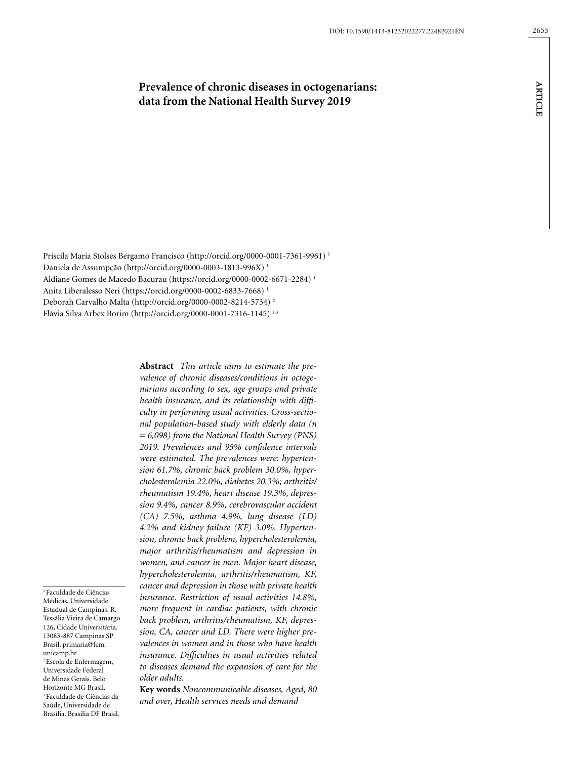# **Prevalence of chronic diseases in octogenarians: data from the National Health Survey 2019**

Priscila Maria Stolses Bergamo Francisco (http://orcid.org/0000-0001-7361-9961) 1 Daniela de Assumpção (http://orcid.org/0000-0003-1813-996X) 1 Aldiane Gomes de Macedo Bacurau (https://orcid.org/0000-0002-6671-2284) 1 Anita Liberalesso Neri (https://orcid.org/0000-0002-6833-7668) 1 Deborah Carvalho Malta (http://orcid.org/0000-0002-8214-5734) 2 Flávia Silva Arbex Borim (http://orcid.org/0000-0001-7316-1145) 1,3

> **Abstract** *This article aims to estimate the prevalence of chronic diseases/conditions in octogenarians according to sex, age groups and private health insurance, and its relationship with difficulty in performing usual activities. Cross-sectional population-based study with elderly data (n = 6,098) from the National Health Survey (PNS) 2019. Prevalences and 95% confidence intervals were estimated. The prevalences were: hypertension 61.7%, chronic back problem 30.0%, hypercholesterolemia 22.0%, diabetes 20.3%; arthritis/ rheumatism 19.4%, heart disease 19.3%, depression 9.4%, cancer 8.9%, cerebrovascular accident (CA) 7.5%, asthma 4.9%, lung disease (LD) 4.2% and kidney failure (KF) 3.0%. Hypertension, chronic back problem, hypercholesterolemia, major arthritis/rheumatism and depression in women, and cancer in men. Major heart disease, hypercholesterolemia, arthritis/rheumatism, KF, cancer and depression in those with private health insurance. Restriction of usual activities 14.8%, more frequent in cardiac patients, with chronic back problem, arthritis/rheumatism, KF, depression, CA, cancer and LD. There were higher prevalences in women and in those who have health insurance. Difficulties in usual activities related to diseases demand the expansion of care for the older adults.*

> **Key words** *Noncommunicable diseases, Aged, 80 and over, Health services needs and demand*

<sup>1</sup> Faculdade de Ciências Médicas, Universidade Estadual de Campinas. R. Tessália Vieira de Camargo 126, Cidade Universitária. 13083-887 Campinas SP Brasil. primaria@fcm. unicamp.br 2 Escola de Enfermagem, Universidade Federal de Minas Gerais. Belo Horizonte MG Brasil. 3 Faculdade de Ciências da Saúde, Universidade de Brasília. Brasília DF Brasil.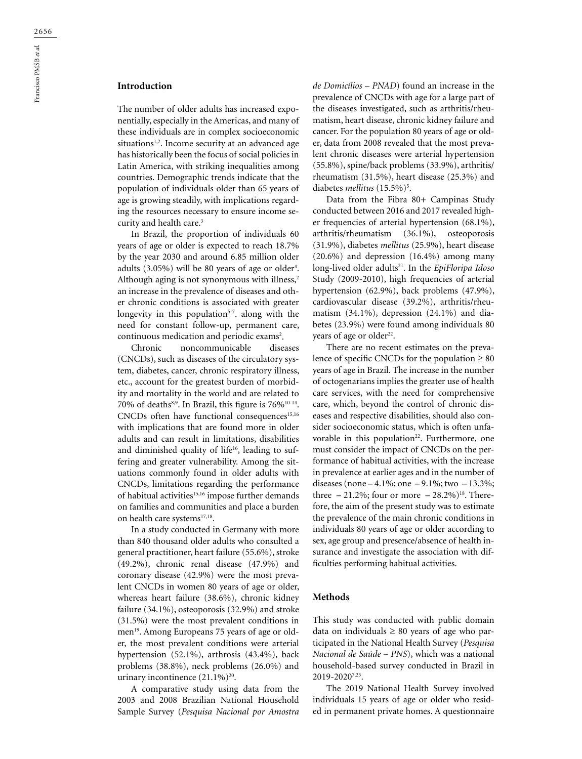# **Introduction**

The number of older adults has increased exponentially, especially in the Americas, and many of these individuals are in complex socioeconomic situations<sup>1,2</sup>. Income security at an advanced age has historically been the focus of social policies in Latin America, with striking inequalities among countries. Demographic trends indicate that the population of individuals older than 65 years of age is growing steadily, with implications regarding the resources necessary to ensure income security and health care.<sup>3</sup>

In Brazil, the proportion of individuals 60 years of age or older is expected to reach 18.7% by the year 2030 and around 6.85 million older adults (3.05%) will be 80 years of age or older4 . Although aging is not synonymous with illness,<sup>2</sup> an increase in the prevalence of diseases and other chronic conditions is associated with greater longevity in this population<sup>5-7</sup>. along with the need for constant follow-up, permanent care, continuous medication and periodic exams<sup>2</sup>.

Chronic noncommunicable diseases (CNCDs), such as diseases of the circulatory system, diabetes, cancer, chronic respiratory illness, etc., account for the greatest burden of morbidity and mortality in the world and are related to 70% of deaths<sup>8,9</sup>. In Brazil, this figure is 76%<sup>10-14</sup>.  $CNCDs$  often have functional consequences<sup>15,16</sup> with implications that are found more in older adults and can result in limitations, disabilities and diminished quality of life<sup>16</sup>, leading to suffering and greater vulnerability. Among the situations commonly found in older adults with CNCDs, limitations regarding the performance of habitual activities<sup>15,16</sup> impose further demands on families and communities and place a burden on health care systems<sup>17,18</sup>.

In a study conducted in Germany with more than 840 thousand older adults who consulted a general practitioner, heart failure (55.6%), stroke (49.2%), chronic renal disease (47.9%) and coronary disease (42.9%) were the most prevalent CNCDs in women 80 years of age or older, whereas heart failure (38.6%), chronic kidney failure (34.1%), osteoporosis (32.9%) and stroke (31.5%) were the most prevalent conditions in men<sup>19</sup>. Among Europeans 75 years of age or older, the most prevalent conditions were arterial hypertension (52.1%), arthrosis (43.4%), back problems (38.8%), neck problems (26.0%) and urinary incontinence  $(21.1\%)^{20}$ .

A comparative study using data from the 2003 and 2008 Brazilian National Household Sample Survey (*Pesquisa Nacional por Amostra*  *de Domicílios – PNAD*) found an increase in the prevalence of CNCDs with age for a large part of the diseases investigated, such as arthritis/rheumatism, heart disease, chronic kidney failure and cancer. For the population 80 years of age or older, data from 2008 revealed that the most prevalent chronic diseases were arterial hypertension (55.8%), spine/back problems (33.9%), arthritis/ rheumatism (31.5%), heart disease (25.3%) and diabetes *mellitus* (15.5%)<sup>5</sup>.

Data from the Fibra 80+ Campinas Study conducted between 2016 and 2017 revealed higher frequencies of arterial hypertension (68.1%), arthritis/rheumatism (36.1%), osteoporosis (31.9%), diabetes *mellitus* (25.9%), heart disease (20.6%) and depression (16.4%) among many long-lived older adults<sup>21</sup>. In the *EpiFloripa Idoso* Study (2009-2010), high frequencies of arterial hypertension (62.9%), back problems (47.9%), cardiovascular disease (39.2%), arthritis/rheumatism (34.1%), depression (24.1%) and diabetes (23.9%) were found among individuals 80 years of age or older<sup>22</sup>.

There are no recent estimates on the prevalence of specific CNCDs for the population  $\geq 80$ years of age in Brazil. The increase in the number of octogenarians implies the greater use of health care services, with the need for comprehensive care, which, beyond the control of chronic diseases and respective disabilities, should also consider socioeconomic status, which is often unfavorable in this population<sup>22</sup>. Furthermore, one must consider the impact of CNCDs on the performance of habitual activities, with the increase in prevalence at earlier ages and in the number of diseases (none – 4.1%; one – 9.1%; two – 13.3%; three  $-21.2\%$ ; four or more  $-28.2\%$ )<sup>18</sup>. Therefore, the aim of the present study was to estimate the prevalence of the main chronic conditions in individuals 80 years of age or older according to sex, age group and presence/absence of health insurance and investigate the association with difficulties performing habitual activities.

#### **Methods**

This study was conducted with public domain data on individuals  $\geq 80$  years of age who participated in the National Health Survey (*Pesquisa Nacional de Saúde – PNS*), which was a national household-based survey conducted in Brazil in 2019-20207,23.

The 2019 National Health Survey involved individuals 15 years of age or older who resided in permanent private homes. A questionnaire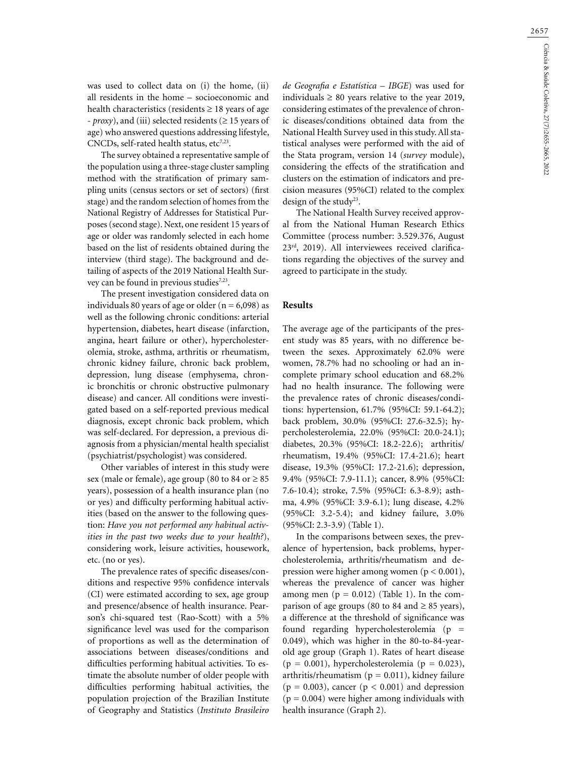was used to collect data on (i) the home, (ii) all residents in the home – socioeconomic and health characteristics (residents  $\geq 18$  years of age - *proxy*), and (iii) selected residents (≥ 15 years of age) who answered questions addressing lifestyle, CNCDs, self-rated health status, etc<sup>7,23</sup>.

The survey obtained a representative sample of the population using a three-stage cluster sampling method with the stratification of primary sampling units (census sectors or set of sectors) (first stage) and the random selection of homes from the National Registry of Addresses for Statistical Purposes (second stage). Next, one resident 15 years of age or older was randomly selected in each home based on the list of residents obtained during the interview (third stage). The background and detailing of aspects of the 2019 National Health Survey can be found in previous studies<sup>7,23</sup>.

The present investigation considered data on individuals 80 years of age or older  $(n = 6,098)$  as well as the following chronic conditions: arterial hypertension, diabetes, heart disease (infarction, angina, heart failure or other), hypercholesterolemia, stroke, asthma, arthritis or rheumatism, chronic kidney failure, chronic back problem, depression, lung disease (emphysema, chronic bronchitis or chronic obstructive pulmonary disease) and cancer. All conditions were investigated based on a self-reported previous medical diagnosis, except chronic back problem, which was self-declared. For depression, a previous diagnosis from a physician/mental health specialist (psychiatrist/psychologist) was considered.

Other variables of interest in this study were sex (male or female), age group (80 to 84 or  $\geq$  85 years), possession of a health insurance plan (no or yes) and difficulty performing habitual activities (based on the answer to the following question: *Have you not performed any habitual activities in the past two weeks due to your health?*), considering work, leisure activities, housework, etc. (no or yes).

The prevalence rates of specific diseases/conditions and respective 95% confidence intervals (CI) were estimated according to sex, age group and presence/absence of health insurance. Pearson's chi-squared test (Rao-Scott) with a 5% significance level was used for the comparison of proportions as well as the determination of associations between diseases/conditions and difficulties performing habitual activities. To estimate the absolute number of older people with difficulties performing habitual activities, the population projection of the Brazilian Institute of Geography and Statistics (*Instituto Brasileiro*  *de Geografia e Estatística – IBGE*) was used for individuals  $\geq 80$  years relative to the year 2019, considering estimates of the prevalence of chronic diseases/conditions obtained data from the National Health Survey used in this study. All statistical analyses were performed with the aid of the Stata program, version 14 (*survey* module), considering the effects of the stratification and clusters on the estimation of indicators and precision measures (95%CI) related to the complex design of the study<sup>23</sup>.

The National Health Survey received approval from the National Human Research Ethics Committee (process number: 3.529.376, August 23rd, 2019). All interviewees received clarifications regarding the objectives of the survey and agreed to participate in the study.

#### **Results**

The average age of the participants of the present study was 85 years, with no difference between the sexes. Approximately 62.0% were women, 78.7% had no schooling or had an incomplete primary school education and 68.2% had no health insurance. The following were the prevalence rates of chronic diseases/conditions: hypertension, 61.7% (95%CI: 59.1-64.2); back problem, 30.0% (95%CI: 27.6-32.5); hypercholesterolemia, 22.0% (95%CI: 20.0-24.1); diabetes, 20.3% (95%CI: 18.2-22.6); arthritis/ rheumatism, 19.4% (95%CI: 17.4-21.6); heart disease, 19.3% (95%CI: 17.2-21.6); depression, 9.4% (95%CI: 7.9-11.1); cancer, 8.9% (95%CI: 7.6-10.4); stroke, 7.5% (95%CI: 6.3-8.9); asthma, 4.9% (95%CI: 3.9-6.1); lung disease, 4.2% (95%CI: 3.2-5.4); and kidney failure, 3.0% (95%CI: 2.3-3.9) (Table 1).

In the comparisons between sexes, the prevalence of hypertension, back problems, hypercholesterolemia, arthritis/rheumatism and depression were higher among women ( $p < 0.001$ ), whereas the prevalence of cancer was higher among men  $(p = 0.012)$  (Table 1). In the comparison of age groups (80 to 84 and  $\geq$  85 years), a difference at the threshold of significance was found regarding hypercholesterolemia ( $p =$ 0.049), which was higher in the 80-to-84-yearold age group (Graph 1). Rates of heart disease  $(p = 0.001)$ , hypercholesterolemia  $(p = 0.023)$ , arthritis/rheumatism ( $p = 0.011$ ), kidney failure  $(p = 0.003)$ , cancer  $(p < 0.001)$  and depression  $(p = 0.004)$  were higher among individuals with health insurance (Graph 2).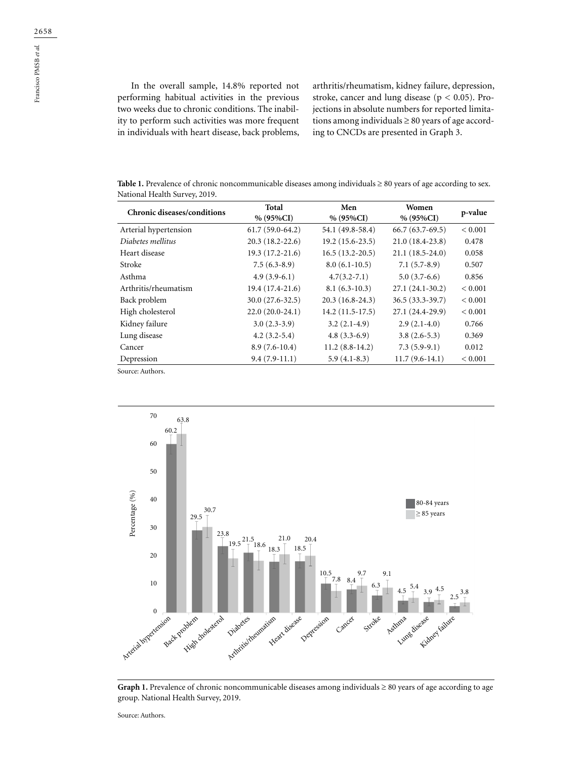In the overall sample, 14.8% reported not performing habitual activities in the previous two weeks due to chronic conditions. The inability to perform such activities was more frequent in individuals with heart disease, back problems,

arthritis/rheumatism, kidney failure, depression, stroke, cancer and lung disease ( $p < 0.05$ ). Projections in absolute numbers for reported limitations among individuals  $\geq 80$  years of age according to CNCDs are presented in Graph 3.

**Table 1.** Prevalence of chronic noncommunicable diseases among individuals ≥ 80 years of age according to sex. National Health Survey, 2019.

| <b>Chronic diseases/conditions</b> | Total<br>$% (95\%CI)$ | Men<br>$% (95\%CI)$ | Women<br>$% (95\%CI)$ | p-value      |
|------------------------------------|-----------------------|---------------------|-----------------------|--------------|
| Arterial hypertension              | $61.7(59.0-64.2)$     | 54.1 (49.8-58.4)    | $66.7(63.7-69.5)$     | ${}< 0.001$  |
| Diabetes mellitus                  | $20.3(18.2 - 22.6)$   | $19.2(15.6-23.5)$   | $21.0(18.4-23.8)$     | 0.478        |
| Heart disease                      | $19.3(17.2 - 21.6)$   | $16.5(13.2 - 20.5)$ | $21.1(18.5 - 24.0)$   | 0.058        |
| Stroke                             | $7.5(6.3-8.9)$        | $8.0(6.1-10.5)$     | $7.1(5.7-8.9)$        | 0.507        |
| Asthma                             | $4.9(3.9-6.1)$        | $4.7(3.2 - 7.1)$    | $5.0(3.7-6.6)$        | 0.856        |
| Arthritis/rheumatism               | $19.4(17.4-21.6)$     | $8.1(6.3-10.3)$     | $27.1(24.1-30.2)$     | ${}_{0.001}$ |
| Back problem                       | $30.0(27.6-32.5)$     | $20.3(16.8-24.3)$   | $36.5(33.3-39.7)$     | ${}< 0.001$  |
| High cholesterol                   | $22.0(20.0-24.1)$     | $14.2(11.5-17.5)$   | 27.1 (24.4-29.9)      | ${}< 0.001$  |
| Kidney failure                     | $3.0(2.3-3.9)$        | $3.2(2.1-4.9)$      | $2.9(2.1-4.0)$        | 0.766        |
| Lung disease                       | $4.2(3.2-5.4)$        | $4.8(3.3-6.9)$      | $3.8(2.6-5.3)$        | 0.369        |
| Cancer                             | $8.9(7.6-10.4)$       | $11.2(8.8-14.2)$    | $7.3(5.9-9.1)$        | 0.012        |
| Depression                         | $9.4(7.9-11.1)$       | $5.9(4.1-8.3)$      | $11.7(9.6-14.1)$      | ${}< 0.001$  |

Source: Authors.



Graph 1. Prevalence of chronic noncommunicable diseases among individuals ≥ 80 years of age according to age group. National Health Survey, 2019.

Source: Authors.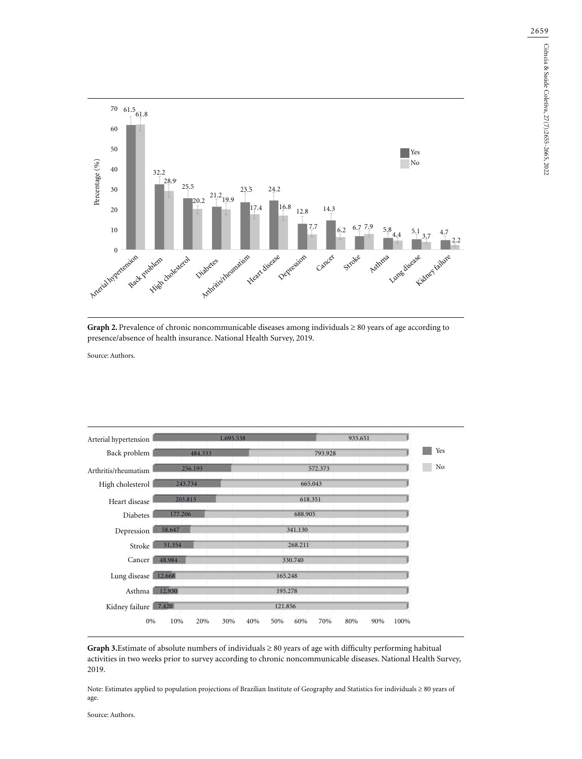



Source: Authors.

| Arterial hypertension | 1.695.538                |            | 935.651    |             |
|-----------------------|--------------------------|------------|------------|-------------|
| Back problem          | 484.333                  |            | 793.928    |             |
| Arthritis/rheumatism  | 256.193                  |            | 572.373    |             |
| High cholesterol      | 243.734                  |            | 665.043    |             |
| Heart disease         | 203.815                  |            | 618.351    |             |
| <b>Diabetes</b>       | 177.206                  | 688.905    |            |             |
| Depression            | 58.647                   | 341.130    |            |             |
| Stroke                | 51.354                   | 268.211    |            |             |
| Cancer                | 48.984                   | 330.740    |            |             |
| Lung disease          | 12.668                   | 165.248    |            |             |
| Asthma                | 12.930                   | 195.278    |            |             |
| Kidney failure 7.420  |                          | 121.856    |            |             |
| 0%                    | 10%<br>20%<br>30%<br>40% | 60%<br>50% | 70%<br>80% | 100%<br>90% |

**Graph 3.**Estimate of absolute numbers of individuals ≥ 80 years of age with difficulty performing habitual activities in two weeks prior to survey according to chronic noncommunicable diseases. National Health Survey, 2019.

.<br>Note: Estimates applied to population projections of Brazilian Institute of Geography and Statistics for individuals ≥ 80 years of age.

Source: Authors. pesquisa, segundo DCNT. Pesquisa  $P(\mathbf{r})$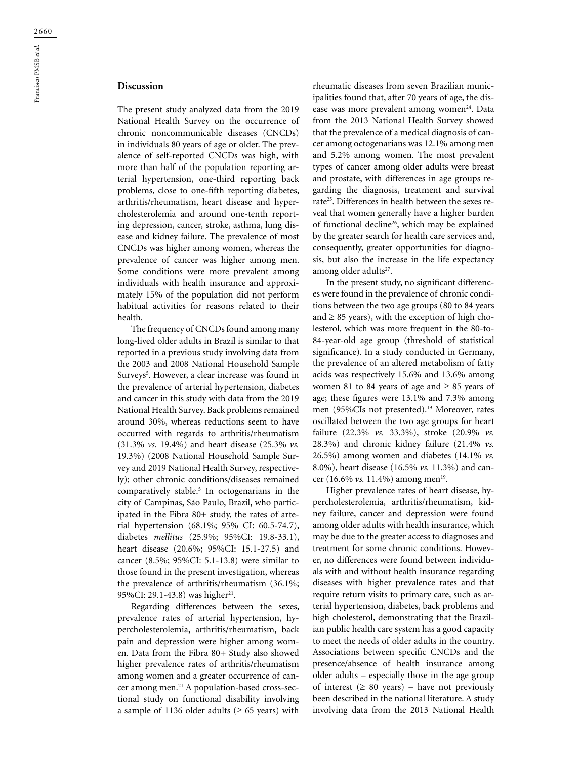The present study analyzed data from the 2019 National Health Survey on the occurrence of chronic noncommunicable diseases (CNCDs) in individuals 80 years of age or older. The prevalence of self-reported CNCDs was high, with more than half of the population reporting arterial hypertension, one-third reporting back problems, close to one-fifth reporting diabetes, arthritis/rheumatism, heart disease and hypercholesterolemia and around one-tenth reporting depression, cancer, stroke, asthma, lung disease and kidney failure. The prevalence of most CNCDs was higher among women, whereas the prevalence of cancer was higher among men. Some conditions were more prevalent among individuals with health insurance and approximately 15% of the population did not perform habitual activities for reasons related to their health.

The frequency of CNCDs found among many long-lived older adults in Brazil is similar to that reported in a previous study involving data from the 2003 and 2008 National Household Sample Surveys<sup>5</sup>. However, a clear increase was found in the prevalence of arterial hypertension, diabetes and cancer in this study with data from the 2019 National Health Survey. Back problems remained around 30%, whereas reductions seem to have occurred with regards to arthritis/rheumatism (31.3% *vs.* 19.4%) and heart disease (25.3% *vs.* 19.3%) (2008 National Household Sample Survey and 2019 National Health Survey, respectively); other chronic conditions/diseases remained comparatively stable.5 In octogenarians in the city of Campinas, São Paulo, Brazil, who participated in the Fibra 80+ study, the rates of arterial hypertension (68.1%; 95% CI: 60.5-74.7), diabetes *mellitus* (25.9%; 95%CI: 19.8-33.1), heart disease (20.6%; 95%CI: 15.1-27.5) and cancer (8.5%; 95%CI: 5.1-13.8) were similar to those found in the present investigation, whereas the prevalence of arthritis/rheumatism (36.1%; 95%CI: 29.1-43.8) was higher<sup>21</sup>.

Regarding differences between the sexes, prevalence rates of arterial hypertension, hypercholesterolemia, arthritis/rheumatism, back pain and depression were higher among women. Data from the Fibra 80+ Study also showed higher prevalence rates of arthritis/rheumatism among women and a greater occurrence of cancer among men.21 A population-based cross-sectional study on functional disability involving a sample of 1136 older adults ( $\geq 65$  years) with

rheumatic diseases from seven Brazilian municipalities found that, after 70 years of age, the disease was more prevalent among women<sup>24</sup>. Data from the 2013 National Health Survey showed that the prevalence of a medical diagnosis of cancer among octogenarians was 12.1% among men and 5.2% among women. The most prevalent types of cancer among older adults were breast and prostate, with differences in age groups regarding the diagnosis, treatment and survival rate<sup>25</sup>. Differences in health between the sexes reveal that women generally have a higher burden of functional decline<sup>26</sup>, which may be explained by the greater search for health care services and, consequently, greater opportunities for diagnosis, but also the increase in the life expectancy among older adults<sup>27</sup>.

In the present study, no significant differences were found in the prevalence of chronic conditions between the two age groups (80 to 84 years and  $\geq$  85 years), with the exception of high cholesterol, which was more frequent in the 80-to-84-year-old age group (threshold of statistical significance). In a study conducted in Germany, the prevalence of an altered metabolism of fatty acids was respectively 15.6% and 13.6% among women 81 to 84 years of age and  $\geq$  85 years of age; these figures were 13.1% and 7.3% among men (95%CIs not presented).19 Moreover, rates oscillated between the two age groups for heart failure (22.3% *vs.* 33.3%), stroke (20.9% *vs.* 28.3%) and chronic kidney failure (21.4% *vs.* 26.5%) among women and diabetes (14.1% *vs.* 8.0%), heart disease (16.5% *vs.* 11.3%) and cancer (16.6% *vs.* 11.4%) among men<sup>19</sup>.

Higher prevalence rates of heart disease, hypercholesterolemia, arthritis/rheumatism, kidney failure, cancer and depression were found among older adults with health insurance, which may be due to the greater access to diagnoses and treatment for some chronic conditions. However, no differences were found between individuals with and without health insurance regarding diseases with higher prevalence rates and that require return visits to primary care, such as arterial hypertension, diabetes, back problems and high cholesterol, demonstrating that the Brazilian public health care system has a good capacity to meet the needs of older adults in the country. Associations between specific CNCDs and the presence/absence of health insurance among older adults – especially those in the age group of interest  $(≥ 80 years) - have not previously$ been described in the national literature. A study involving data from the 2013 National Health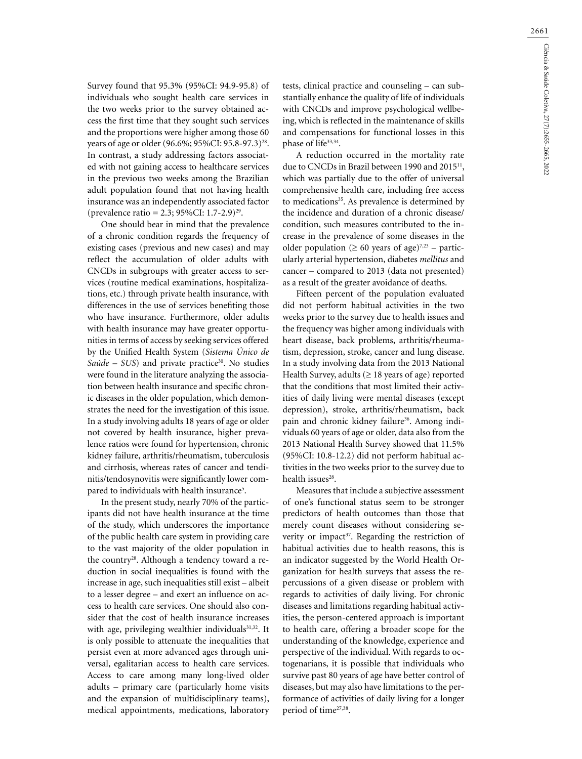Survey found that 95.3% (95%CI: 94.9-95.8) of individuals who sought health care services in the two weeks prior to the survey obtained access the first time that they sought such services and the proportions were higher among those 60 years of age or older (96.6%; 95%CI: 95.8-97.3)28. In contrast, a study addressing factors associated with not gaining access to healthcare services in the previous two weeks among the Brazilian adult population found that not having health insurance was an independently associated factor (prevalence ratio = 2.3; 95%CI: 1.7-2.9)29.

One should bear in mind that the prevalence of a chronic condition regards the frequency of existing cases (previous and new cases) and may reflect the accumulation of older adults with CNCDs in subgroups with greater access to services (routine medical examinations, hospitalizations, etc.) through private health insurance, with differences in the use of services benefiting those who have insurance. Furthermore, older adults with health insurance may have greater opportunities in terms of access by seeking services offered by the Unified Health System (*Sistema Único de*  Saúde – SUS) and private practice<sup>30</sup>. No studies were found in the literature analyzing the association between health insurance and specific chronic diseases in the older population, which demonstrates the need for the investigation of this issue. In a study involving adults 18 years of age or older not covered by health insurance, higher prevalence ratios were found for hypertension, chronic kidney failure, arthritis/rheumatism, tuberculosis and cirrhosis, whereas rates of cancer and tendinitis/tendosynovitis were significantly lower compared to individuals with health insurance<sup>5</sup>.

In the present study, nearly 70% of the participants did not have health insurance at the time of the study, which underscores the importance of the public health care system in providing care to the vast majority of the older population in the country<sup>28</sup>. Although a tendency toward a reduction in social inequalities is found with the increase in age, such inequalities still exist – albeit to a lesser degree – and exert an influence on access to health care services. One should also consider that the cost of health insurance increases with age, privileging wealthier individuals<sup>31,32</sup>. It is only possible to attenuate the inequalities that persist even at more advanced ages through universal, egalitarian access to health care services. Access to care among many long-lived older adults – primary care (particularly home visits and the expansion of multidisciplinary teams), medical appointments, medications, laboratory tests, clinical practice and counseling – can substantially enhance the quality of life of individuals with CNCDs and improve psychological wellbeing, which is reflected in the maintenance of skills and compensations for functional losses in this phase of life<sup>33,34</sup>.

A reduction occurred in the mortality rate due to CNCDs in Brazil between 1990 and 2015<sup>11</sup>, which was partially due to the offer of universal comprehensive health care, including free access to medications<sup>35</sup>. As prevalence is determined by the incidence and duration of a chronic disease/ condition, such measures contributed to the increase in the prevalence of some diseases in the older population ( $\geq 60$  years of age)<sup>7,23</sup> – particularly arterial hypertension, diabetes *mellitus* and cancer – compared to 2013 (data not presented) as a result of the greater avoidance of deaths.

Fifteen percent of the population evaluated did not perform habitual activities in the two weeks prior to the survey due to health issues and the frequency was higher among individuals with heart disease, back problems, arthritis/rheumatism, depression, stroke, cancer and lung disease. In a study involving data from the 2013 National Health Survey, adults ( $\geq$  18 years of age) reported that the conditions that most limited their activities of daily living were mental diseases (except depression), stroke, arthritis/rheumatism, back pain and chronic kidney failure<sup>36</sup>. Among individuals 60 years of age or older, data also from the 2013 National Health Survey showed that 11.5% (95%CI: 10.8-12.2) did not perform habitual activities in the two weeks prior to the survey due to health issues<sup>28</sup>.

Measures that include a subjective assessment of one's functional status seem to be stronger predictors of health outcomes than those that merely count diseases without considering severity or impact<sup>37</sup>. Regarding the restriction of habitual activities due to health reasons, this is an indicator suggested by the World Health Organization for health surveys that assess the repercussions of a given disease or problem with regards to activities of daily living. For chronic diseases and limitations regarding habitual activities, the person-centered approach is important to health care, offering a broader scope for the understanding of the knowledge, experience and perspective of the individual. With regards to octogenarians, it is possible that individuals who survive past 80 years of age have better control of diseases, but may also have limitations to the performance of activities of daily living for a longer period of time<sup>27,38</sup>.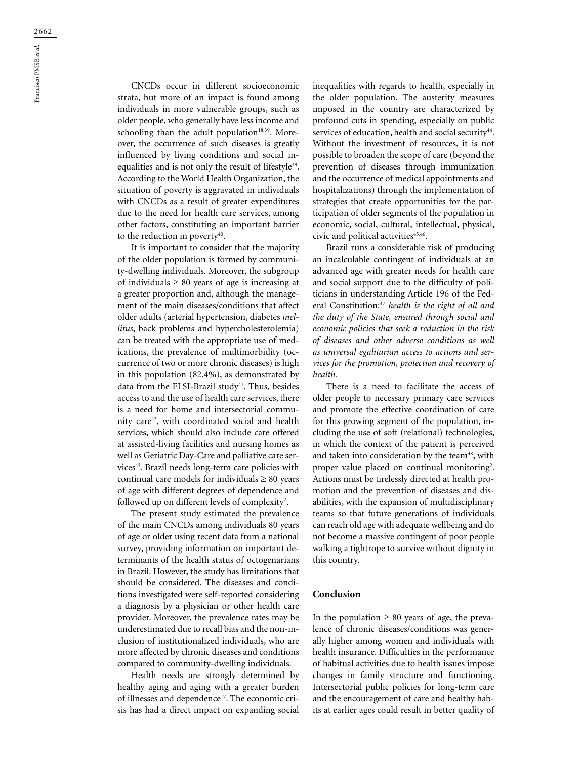CNCDs occur in different socioeconomic strata, but more of an impact is found among individuals in more vulnerable groups, such as older people, who generally have less income and schooling than the adult population<sup>18,39</sup>. Moreover, the occurrence of such diseases is greatly influenced by living conditions and social inequalities and is not only the result of lifestyle<sup>39</sup>. According to the World Health Organization, the situation of poverty is aggravated in individuals with CNCDs as a result of greater expenditures due to the need for health care services, among other factors, constituting an important barrier to the reduction in poverty<sup>40</sup>.

It is important to consider that the majority of the older population is formed by community-dwelling individuals. Moreover, the subgroup of individuals  $\geq 80$  years of age is increasing at a greater proportion and, although the management of the main diseases/conditions that affect older adults (arterial hypertension, diabetes *mellitus*, back problems and hypercholesterolemia) can be treated with the appropriate use of medications, the prevalence of multimorbidity (occurrence of two or more chronic diseases) is high in this population (82.4%), as demonstrated by data from the ELSI-Brazil study<sup>41</sup>. Thus, besides access to and the use of health care services, there is a need for home and intersectorial community care42, with coordinated social and health services, which should also include care offered at assisted-living facilities and nursing homes as well as Geriatric Day-Care and palliative care services<sup>43</sup>. Brazil needs long-term care policies with continual care models for individuals  $\geq 80$  years of age with different degrees of dependence and followed up on different levels of complexity<sup>2</sup>.

The present study estimated the prevalence of the main CNCDs among individuals 80 years of age or older using recent data from a national survey, providing information on important determinants of the health status of octogenarians in Brazil. However, the study has limitations that should be considered. The diseases and conditions investigated were self-reported considering a diagnosis by a physician or other health care provider. Moreover, the prevalence rates may be underestimated due to recall bias and the non-inclusion of institutionalized individuals, who are more affected by chronic diseases and conditions compared to community-dwelling individuals.

Health needs are strongly determined by healthy aging and aging with a greater burden of illnesses and dependence<sup>17</sup>. The economic crisis has had a direct impact on expanding social inequalities with regards to health, especially in the older population. The austerity measures imposed in the country are characterized by profound cuts in spending, especially on public services of education, health and social security<sup>44</sup>. Without the investment of resources, it is not possible to broaden the scope of care (beyond the prevention of diseases through immunization and the occurrence of medical appointments and hospitalizations) through the implementation of strategies that create opportunities for the participation of older segments of the population in economic, social, cultural, intellectual, physical, civic and political activities<sup>45,46</sup>.

Brazil runs a considerable risk of producing an incalculable contingent of individuals at an advanced age with greater needs for health care and social support due to the difficulty of politicians in understanding Article 196 of the Federal Constitution:47 *health is the right of all and the duty of the State, ensured through social and economic policies that seek a reduction in the risk of diseases and other adverse conditions as well as universal egalitarian access to actions and services for the promotion, protection and recovery of health.* 

There is a need to facilitate the access of older people to necessary primary care services and promote the effective coordination of care for this growing segment of the population, including the use of soft (relational) technologies, in which the context of the patient is perceived and taken into consideration by the team<sup>48</sup>, with proper value placed on continual monitoring<sup>2</sup>. Actions must be tirelessly directed at health promotion and the prevention of diseases and disabilities, with the expansion of multidisciplinary teams so that future generations of individuals can reach old age with adequate wellbeing and do not become a massive contingent of poor people walking a tightrope to survive without dignity in this country.

#### **Conclusion**

In the population  $\geq 80$  years of age, the prevalence of chronic diseases/conditions was generally higher among women and individuals with health insurance. Difficulties in the performance of habitual activities due to health issues impose changes in family structure and functioning. Intersectorial public policies for long-term care and the encouragement of care and healthy habits at earlier ages could result in better quality of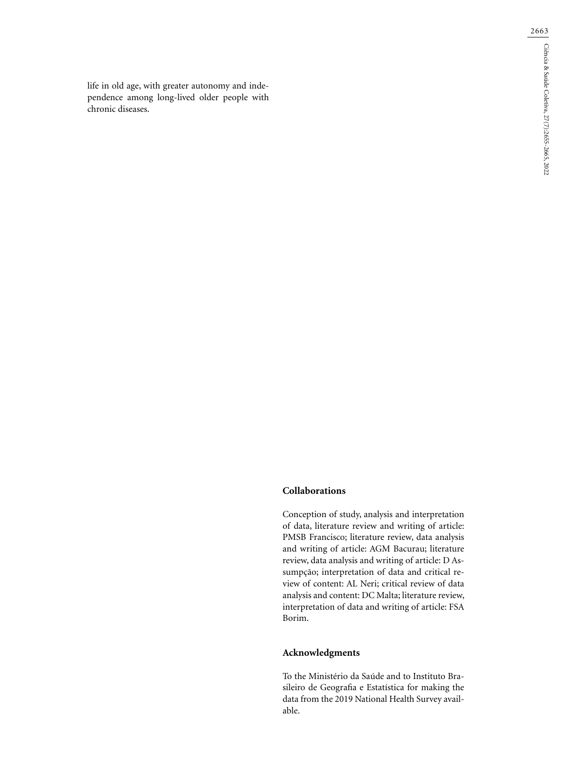life in old age, with greater autonomy and independence among long-lived older people with chronic diseases.

2663

## **Collaborations**

Conception of study, analysis and interpretation of data, literature review and writing of article: PMSB Francisco; literature review, data analysis and writing of article: AGM Bacurau; literature review, data analysis and writing of article: D Assumpção; interpretation of data and critical review of content: AL Neri; critical review of data analysis and content: DC Malta; literature review, interpretation of data and writing of article: FSA Borim.

# **Acknowledgments**

To the Ministério da Saúde and to Instituto Brasileiro de Geografia e Estatística for making the data from the 2019 National Health Survey available.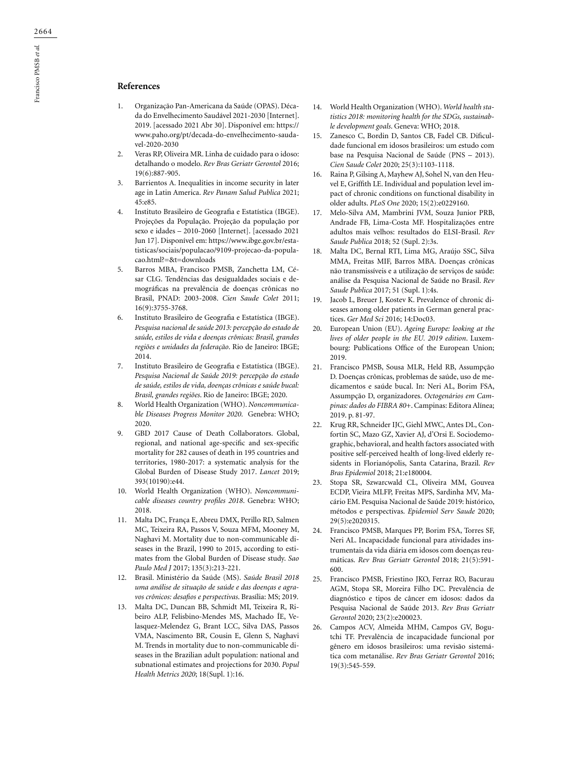## **References**

- 1. Organização Pan-Americana da Saúde (OPAS). Década do Envelhecimento Saudável 2021-2030 [Internet]. 2019. [acessado 2021 Abr 30]. Disponível em: https:// www.paho.org/pt/decada-do-envelhecimento-saudavel-2020-2030
- 2. Veras RP, Oliveira MR. Linha de cuidado para o idoso: detalhando o modelo. *Rev Bras Geriatr Gerontol* 2016; 19(6):887-905.
- 3. Barrientos A. Inequalities in income security in later age in Latin America. *Rev Panam Salud Publica* 2021;  $45.685$
- 4. Instituto Brasileiro de Geografia e Estatística (IBGE). Projeções da População. Projeção da população por sexo e idades – 2010-2060 [Internet]. [acessado 2021 Jun 17]. Disponível em: https://www.ibge.gov.br/estatisticas/sociais/populacao/9109-projecao-da-populacao.html?=&t=downloads
- 5. Barros MBA, Francisco PMSB, Zanchetta LM, César CLG. Tendências das desigualdades sociais e demográficas na prevalência de doenças crônicas no Brasil, PNAD: 2003-2008. *Cien Saude Colet* 2011; 16(9):3755-3768.
- 6. Instituto Brasileiro de Geografia e Estatística (IBGE). *Pesquisa nacional de saúde 2013: percepção do estado de saúde, estilos de vida e doenças crônicas: Brasil, grandes regiões e unidades da federação*. Rio de Janeiro: IBGE; 2014.
- 7. Instituto Brasileiro de Geografia e Estatística (IBGE). *Pesquisa Nacional de Saúde 2019: percepção do estado de saúde, estilos de vida, doenças crônicas e saúde bucal: Brasil, grandes regiões*. Rio de Janeiro: IBGE; 2020.
- 8. World Health Organization (WHO). *Noncommunicable Diseases Progress Monitor 2020*. Genebra: WHO; 2020.
- 9. GBD 2017 Cause of Death Collaborators. Global, regional, and national age-specific and sex-specific mortality for 282 causes of death in 195 countries and territories, 1980-2017: a systematic analysis for the Global Burden of Disease Study 2017. *Lancet* 2019; 393(10190):e44.
- 10. World Health Organization (WHO). *Noncommunicable diseases country profiles 2018*. Genebra: WHO; 2018.
- 11. Malta DC, França E, Abreu DMX, Perillo RD, Salmen MC, Teixeira RA, Passos V, Souza MFM, Mooney M, Naghavi M. Mortality due to non-communicable diseases in the Brazil, 1990 to 2015, according to estimates from the Global Burden of Disease study. *Sao Paulo Med J* 2017; 135(3):213-221.
- 12. Brasil. Ministério da Saúde (MS). *Saúde Brasil 2018 uma análise de situação de saúde e das doenças e agravos crônicos: desafios e perspectivas*. Brasília: MS; 2019.
- 13. Malta DC, Duncan BB, Schmidt MI, Teixeira R, Ribeiro ALP, Felisbino-Mendes MS, Machado ÍE, Velasquez-Melendez G, Brant LCC, Silva DAS, Passos VMA, Nascimento BR, Cousin E, Glenn S, Naghavi M. Trends in mortality due to non-communicable diseases in the Brazilian adult population: national and subnational estimates and projections for 2030. *Popul Health Metrics 2020*; 18(Supl. 1):16.
- 14. World Health Organization (WHO). *World health statistics 2018: monitoring health for the SDGs, sustainable development goals*. Geneva: WHO; 2018.
- 15. Zanesco C, Bordin D, Santos CB, Fadel CB. Dificuldade funcional em idosos brasileiros: um estudo com base na Pesquisa Nacional de Saúde (PNS – 2013). *Cien Saude Colet* 2020; 25(3):1103-1118.
- 16. Raina P, Gilsing A, Mayhew AJ, Sohel N, van den Heuvel E, Griffith LE. Individual and population level impact of chronic conditions on functional disability in older adults. *PLoS One* 2020; 15(2):e0229160.
- 17. Melo-Silva AM, Mambrini JVM, Souza Junior PRB, Andrade FB, Lima-Costa MF. Hospitalizações entre adultos mais velhos: resultados do ELSI-Brasil. *Rev Saude Publica* 2018; 52 (Supl. 2):3s.
- 18. Malta DC, Bernal RTI, Lima MG, Araújo SSC, Silva MMA, Freitas MIF, Barros MBA. Doenças crônicas não transmissíveis e a utilização de serviços de saúde: análise da Pesquisa Nacional de Saúde no Brasil. *Rev Saude Publica* 2017; 51 (Supl. 1):4s.
- 19. Jacob L, Breuer J, Kostev K. Prevalence of chronic diseases among older patients in German general practices. *Ger Med Sci* 2016; 14:Doc03.
- 20. European Union (EU). *Ageing Europe: looking at the lives of older people in the EU. 2019 edition*. Luxembourg: Publications Office of the European Union; 2019.
- 21. Francisco PMSB, Sousa MLR, Held RB, Assumpção D. Doenças crônicas, problemas de saúde, uso de medicamentos e saúde bucal. In: Neri AL, Borim FSA, Assumpção D, organizadores. *Octogenários em Campinas: dados do FIBRA 80+*. Campinas: Editora Alínea; 2019. p. 81-97.
- 22. Krug RR, Schneider IJC, Giehl MWC, Antes DL, Confortin SC, Mazo GZ, Xavier AJ, d'Orsi E. Sociodemographic, behavioral, and health factors associated with positive self-perceived health of long-lived elderly residents in Florianópolis, Santa Catarina, Brazil. *Rev Bras Epidemiol* 2018; 21:e180004.
- 23. Stopa SR, Szwarcwald CL, Oliveira MM, Gouvea ECDP, Vieira MLFP, Freitas MPS, Sardinha MV, Macário EM. Pesquisa Nacional de Saúde 2019: histórico, métodos e perspectivas. *Epidemiol Serv Saude* 2020; 29(5):e2020315.
- 24. Francisco PMSB, Marques PP, Borim FSA, Torres SF, Neri AL. Incapacidade funcional para atividades instrumentais da vida diária em idosos com doenças reumáticas. *Rev Bras Geriatr Gerontol* 2018; 21(5):591- 600.
- 25. Francisco PMSB, Friestino JKO, Ferraz RO, Bacurau AGM, Stopa SR, Moreira Filho DC. Prevalência de diagnóstico e tipos de câncer em idosos: dados da Pesquisa Nacional de Saúde 2013. *Rev Bras Geriatr Gerontol* 2020; 23(2):e200023.
- 26. Campos ACV, Almeida MHM, Campos GV, Bogutchi TF. Prevalência de incapacidade funcional por gênero em idosos brasileiros: uma revisão sistemática com metanálise. *Rev Bras Geriatr Gerontol* 2016; 19(3):545-559.